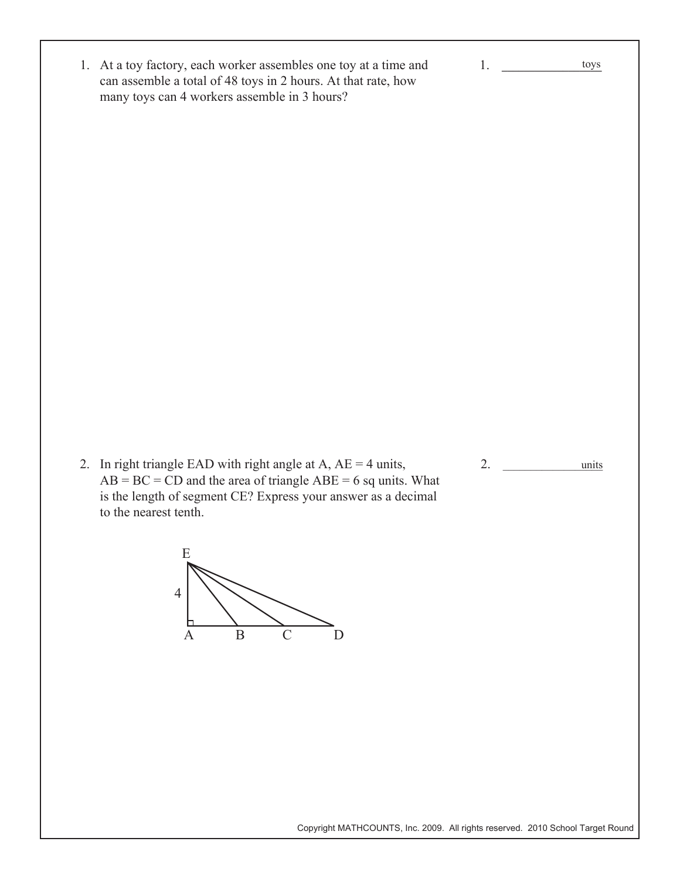1. At a toy factory, each worker assembles one toy at a time and can assemble a total of 48 toys in 2 hours. At that rate, how many toys can 4 workers assemble in 3 hours?

2. In right triangle EAD with right angle at A,  $AE = 4$  units,  $AB = BC = CD$  and the area of triangle  $ABE = 6$  sq units. What is the length of segment CE? Express your answer as a decimal to the nearest tenth.



2. units

1. **\_\_\_\_\_\_\_\_\_\_\_\_\_\_\_\_\_\_\_**

toys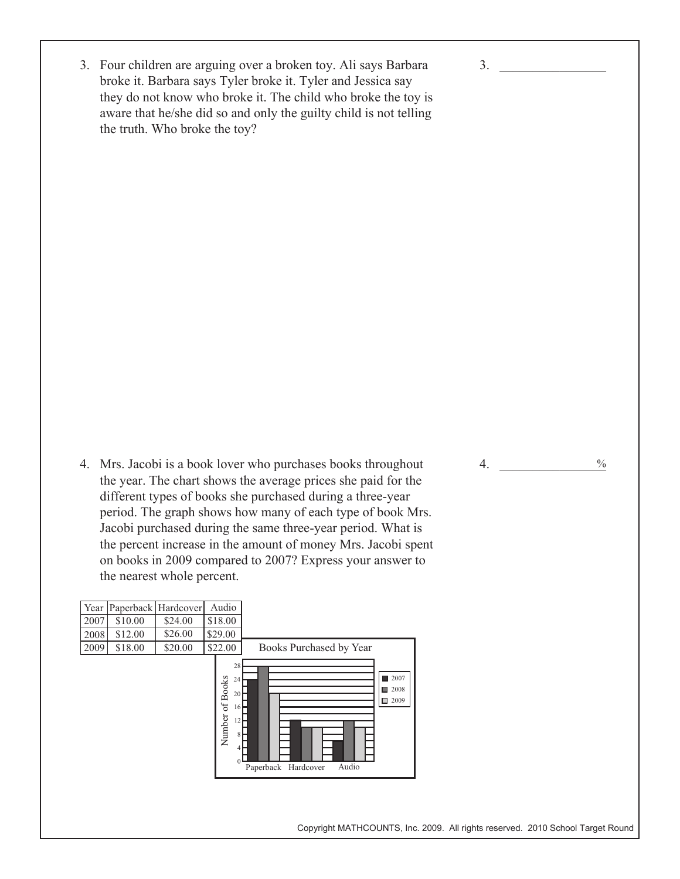3. Four children are arguing over a broken toy. Ali says Barbara broke it. Barbara says Tyler broke it. Tyler and Jessica say they do not know who broke it. The child who broke the toy is aware that he/she did so and only the guilty child is not telling the truth. Who broke the toy?

4. Mrs. Jacobi is a book lover who purchases books throughout the year. The chart shows the average prices she paid for the different types of books she purchased during a three-year period. The graph shows how many of each type of book Mrs. Jacobi purchased during the same three-year period. What is the percent increase in the amount of money Mrs. Jacobi spent on books in 2009 compared to 2007? Express your answer to the nearest whole percent.



Copyright MATHCOUNTS, Inc. 2009. All rights reserved. 2010 School Target Round

4.  $\frac{9}{6}$  $\frac{0}{0}$ 

 $3.$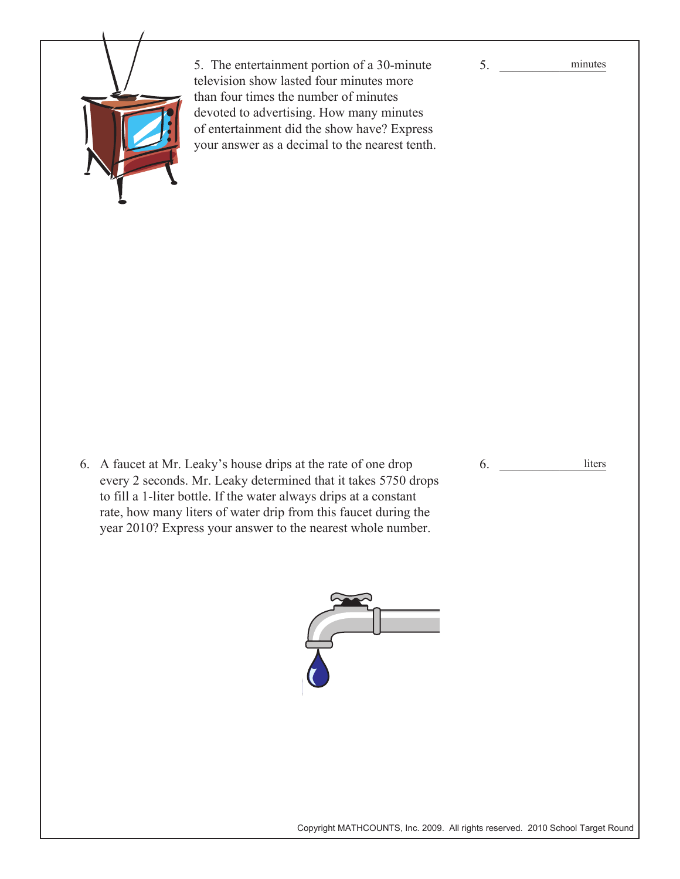

5. The entertainment portion of a 30-minute television show lasted four minutes more than four times the number of minutes devoted to advertising. How many minutes of entertainment did the show have? Express your answer as a decimal to the nearest tenth.

6. A faucet at Mr. Leaky's house drips at the rate of one drop every 2 seconds. Mr. Leaky determined that it takes 5750 drops to fill a 1-liter bottle. If the water always drips at a constant rate, how many liters of water drip from this faucet during the year 2010? Express your answer to the nearest whole number.



 $5.$ 

6. \_\_\_\_\_\_\_\_\_\_\_\_\_\_\_\_

liters

Copyright MATHCOUNTS, Inc. 2009. All rights reserved. 2010 School Target Round